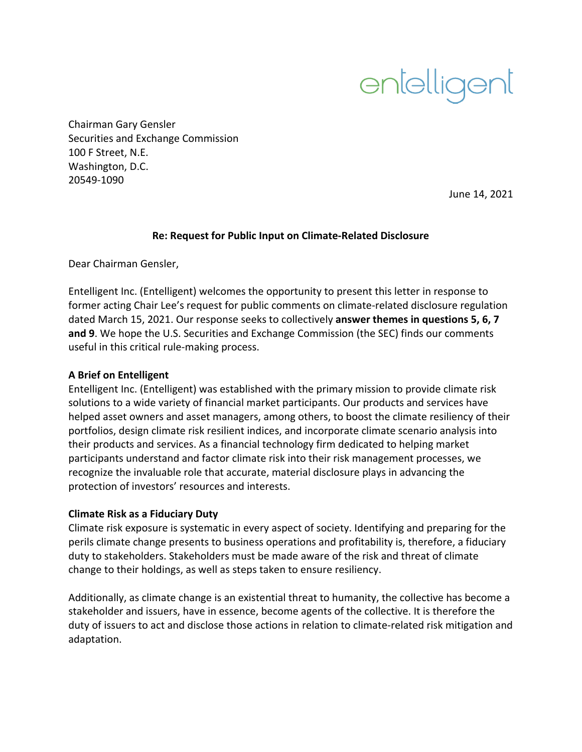

Chairman Gary Gensler Securities and Exchange Commission 100 F Street, N.E. Washington, D.C. 20549‐1090

June 14, 2021

#### **Re: Request for Public Input on Climate‐Related Disclosure**

Dear Chairman Gensler,

Entelligent Inc. (Entelligent) welcomes the opportunity to present this letter in response to former acting Chair Lee's request for public comments on climate-related disclosure regulation dated March 15, 2021. Our response seeks to collectively **answer themes in questions 5, 6, 7 and 9**. We hope the U.S. Securities and Exchange Commission (the SEC) finds our comments useful in this critical rule‐making process.

### **A Brief on Entelligent**

Entelligent Inc. (Entelligent) was established with the primary mission to provide climate risk solutions to a wide variety of financial market participants. Our products and services have helped asset owners and asset managers, among others, to boost the climate resiliency of their portfolios, design climate risk resilient indices, and incorporate climate scenario analysis into their products and services. As a financial technology firm dedicated to helping market participants understand and factor climate risk into their risk management processes, we recognize the invaluable role that accurate, material disclosure plays in advancing the protection of investors' resources and interests.

#### **Climate Risk as a Fiduciary Duty**

Climate risk exposure is systematic in every aspect of society. Identifying and preparing for the perils climate change presents to business operations and profitability is, therefore, a fiduciary duty to stakeholders. Stakeholders must be made aware of the risk and threat of climate change to their holdings, as well as steps taken to ensure resiliency.

Additionally, as climate change is an existential threat to humanity, the collective has become a stakeholder and issuers, have in essence, become agents of the collective. It is therefore the duty of issuers to act and disclose those actions in relation to climate-related risk mitigation and adaptation.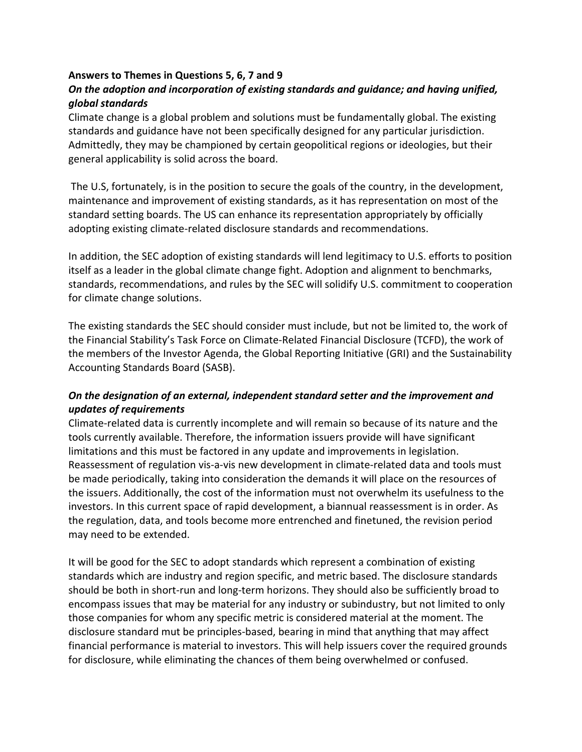### **Answers to Themes in Questions 5, 6, 7 and 9**

# *On the adoption and incorporation of existing standards and guidance; and having unified, global standards*

Climate change is a global problem and solutions must be fundamentally global. The existing standards and guidance have not been specifically designed for any particular jurisdiction. Admittedly, they may be championed by certain geopolitical regions or ideologies, but their general applicability is solid across the board.

The U.S, fortunately, is in the position to secure the goals of the country, in the development, maintenance and improvement of existing standards, as it has representation on most of the standard setting boards. The US can enhance its representation appropriately by officially adopting existing climate‐related disclosure standards and recommendations.

In addition, the SEC adoption of existing standards will lend legitimacy to U.S. efforts to position itself as a leader in the global climate change fight. Adoption and alignment to benchmarks, standards, recommendations, and rules by the SEC will solidify U.S. commitment to cooperation for climate change solutions.

The existing standards the SEC should consider must include, but not be limited to, the work of the Financial Stability's Task Force on Climate‐Related Financial Disclosure (TCFD), the work of the members of the Investor Agenda, the Global Reporting Initiative (GRI) and the Sustainability Accounting Standards Board (SASB).

## *On the designation of an external, independent standard setter and the improvement and updates of requirements*

Climate‐related data is currently incomplete and will remain so because of its nature and the tools currently available. Therefore, the information issuers provide will have significant limitations and this must be factored in any update and improvements in legislation. Reassessment of regulation vis‐a‐vis new development in climate‐related data and tools must be made periodically, taking into consideration the demands it will place on the resources of the issuers. Additionally, the cost of the information must not overwhelm its usefulness to the investors. In this current space of rapid development, a biannual reassessment is in order. As the regulation, data, and tools become more entrenched and finetuned, the revision period may need to be extended.

It will be good for the SEC to adopt standards which represent a combination of existing standards which are industry and region specific, and metric based. The disclosure standards should be both in short-run and long-term horizons. They should also be sufficiently broad to encompass issues that may be material for any industry or subindustry, but not limited to only those companies for whom any specific metric is considered material at the moment. The disclosure standard mut be principles‐based, bearing in mind that anything that may affect financial performance is material to investors. This will help issuers cover the required grounds for disclosure, while eliminating the chances of them being overwhelmed or confused.